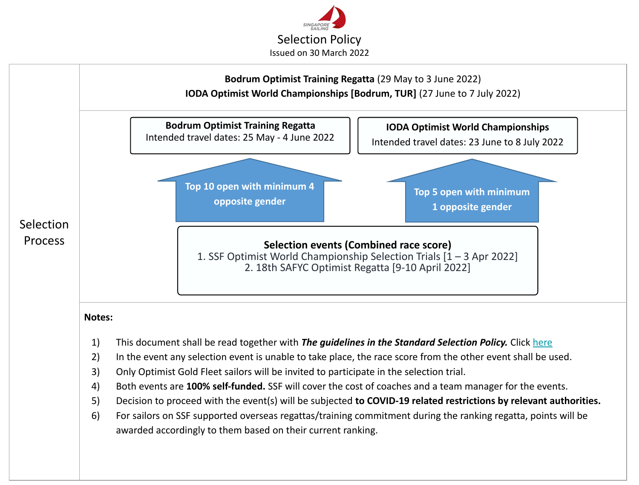

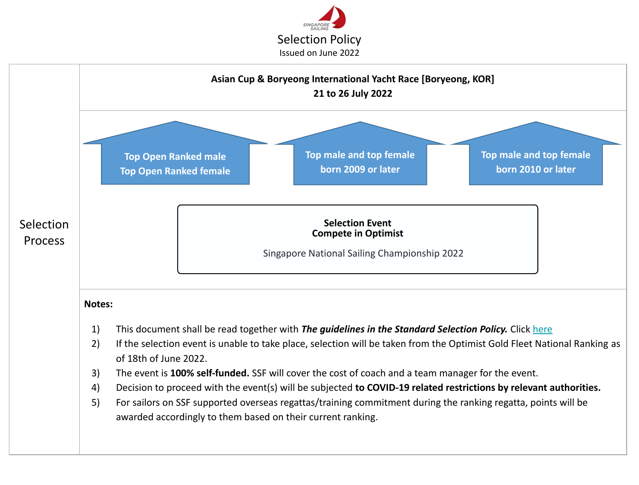